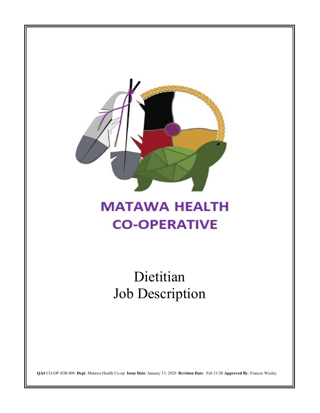

# **MATAWA HEALTH CO-OPERATIVE**

Dietitian Job Description

**QA#** CO-OP JOB 008 **Dept**: Matawa Health Co-op **Issue Date**: January 13, 2020 **Revision Date**: Feb 21/20 **Approved By**: Frances Wesley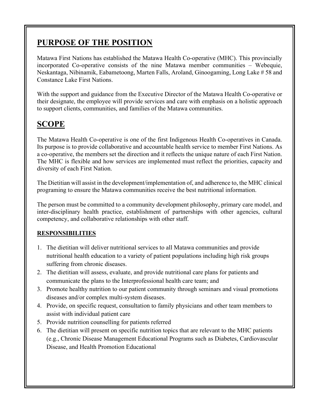## **PURPOSE OF THE POSITION**

Matawa First Nations has established the Matawa Health Co-operative (MHC). This provincially incorporated Co-operative consists of the nine Matawa member communities – Webequie, Neskantaga, Nibinamik, Eabametoong, Marten Falls, Aroland, Ginoogaming, Long Lake # 58 and Constance Lake First Nations.

With the support and guidance from the Executive Director of the Matawa Health Co-operative or their designate, the employee will provide services and care with emphasis on a holistic approach to support clients, communities, and families of the Matawa communities.

# **SCOPE**

The Matawa Health Co-operative is one of the first Indigenous Health Co-operatives in Canada. Its purpose is to provide collaborative and accountable health service to member First Nations. As a co-operative, the members set the direction and it reflects the unique nature of each First Nation. The MHC is flexible and how services are implemented must reflect the priorities, capacity and diversity of each First Nation.

The Dietitian will assist in the development/implementation of, and adherence to, the MHC clinical programing to ensure the Matawa communities receive the best nutritional information.

The person must be committed to a community development philosophy, primary care model, and inter-disciplinary health practice, establishment of partnerships with other agencies, cultural competency, and collaborative relationships with other staff.

#### **RESPONSIBILITIES**

- 1. The dietitian will deliver nutritional services to all Matawa communities and provide nutritional health education to a variety of patient populations including high risk groups suffering from chronic diseases.
- 2. The dietitian will assess, evaluate, and provide nutritional care plans for patients and communicate the plans to the Interprofessional health care team; and
- 3. Promote healthy nutrition to our patient community through seminars and visual promotions diseases and/or complex multi-system diseases.
- 4. Provide, on specific request, consultation to family physicians and other team members to assist with individual patient care
- 5. Provide nutrition counselling for patients referred
- 6. The dietitian will present on specific nutrition topics that are relevant to the MHC patients (e.g., Chronic Disease Management Educational Programs such as Diabetes, Cardiovascular Disease, and Health Promotion Educational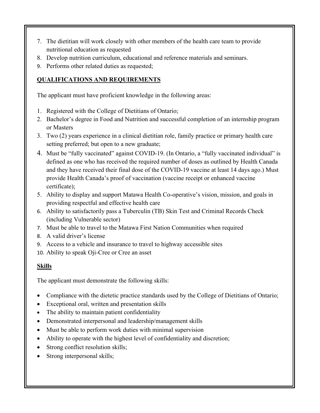- 7. The dietitian will work closely with other members of the health care team to provide nutritional education as requested
- 8. Develop nutrition curriculum, educational and reference materials and seminars.
- 9. Performs other related duties as requested;

#### **QUALIFICATIONS AND REQUIREMENTS**

The applicant must have proficient knowledge in the following areas:

- 1. Registered with the College of Dietitians of Ontario;
- 2. Bachelor's degree in Food and Nutrition and successful completion of an internship program or Masters
- 3. Two (2) years experience in a clinical dietitian role, family practice or primary health care setting preferred; but open to a new graduate;
- 4. Must be "fully vaccinated" against COVID-19. (In Ontario, a "fully vaccinated individual" is defined as one who has received the required number of doses as outlined by Health Canada and they have received their final dose of the COVID-19 vaccine at least 14 days ago.) Must provide Health Canada's proof of vaccination (vaccine receipt or enhanced vaccine certificate);
- 5. Ability to display and support Matawa Health Co-operative's vision, mission, and goals in providing respectful and effective health care
- 6. Ability to satisfactorily pass a Tuberculin (TB) Skin Test and Criminal Records Check (including Vulnerable sector)
- 7. Must be able to travel to the Matawa First Nation Communities when required
- 8. A valid driver's license
- 9. Access to a vehicle and insurance to travel to highway accessible sites
- 10. Ability to speak Oji-Cree or Cree an asset

#### **Skills**

The applicant must demonstrate the following skills:

- Compliance with the dietetic practice standards used by the College of Dietitians of Ontario;
- Exceptional oral, written and presentation skills
- The ability to maintain patient confidentiality
- Demonstrated interpersonal and leadership/management skills
- Must be able to perform work duties with minimal supervision
- Ability to operate with the highest level of confidentiality and discretion;
- Strong conflict resolution skills;
- Strong interpersonal skills;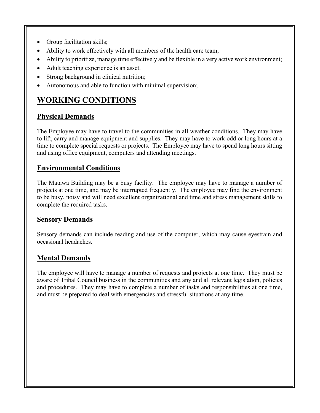- Group facilitation skills;
- Ability to work effectively with all members of the health care team;
- Ability to prioritize, manage time effectively and be flexible in a very active work environment;
- Adult teaching experience is an asset.
- Strong background in clinical nutrition;
- Autonomous and able to function with minimal supervision;

# **WORKING CONDITIONS**

### **Physical Demands**

The Employee may have to travel to the communities in all weather conditions. They may have to lift, carry and manage equipment and supplies. They may have to work odd or long hours at a time to complete special requests or projects. The Employee may have to spend long hours sitting and using office equipment, computers and attending meetings.

### **Environmental Conditions**

The Matawa Building may be a busy facility. The employee may have to manage a number of projects at one time, and may be interrupted frequently. The employee may find the environment to be busy, noisy and will need excellent organizational and time and stress management skills to complete the required tasks.

### **Sensory Demands**

Sensory demands can include reading and use of the computer, which may cause eyestrain and occasional headaches.

### **Mental Demands**

The employee will have to manage a number of requests and projects at one time. They must be aware of Tribal Council business in the communities and any and all relevant legislation, policies and procedures. They may have to complete a number of tasks and responsibilities at one time, and must be prepared to deal with emergencies and stressful situations at any time.